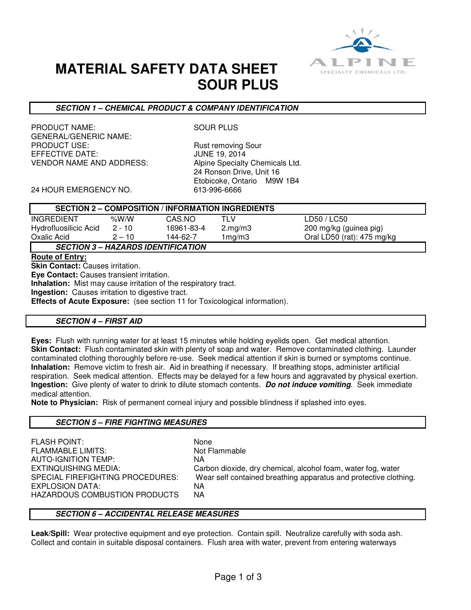

## **MATERIAL SAFETY DATA SHEET SOUR PLUS**

### **SECTION 1 – CHEMICAL PRODUCT & COMPANY IDENTIFICATION**

PRODUCT NAME: SOUR PLUS GENERAL/GENERIC NAME:<br>PRODUCT USE: EFFECTIVE DATE: JUNE 19, 2014 VENDOR NAME AND ADDRESS: Alpine Specialty Chemicals Ltd.

Rust removing Sour 24 Ronson Drive, Unit 16 Etobicoke, Ontario M9W 1B4

24 HOUR EMERGENCY NO. 613-996-6666

| <b>SECTION 2 – COMPOSITION / INFORMATION INGREDIENTS</b> |          |            |         |                                      |  |
|----------------------------------------------------------|----------|------------|---------|--------------------------------------|--|
| INGREDIENT                                               | % $W/N$  | CAS NO     | TLV     | LD50 / LC50                          |  |
| Hydrofluosilicic Acid                                    | $2 - 10$ | 16961-83-4 | 2.mg/m3 | 200 mg/kg (guinea pig)               |  |
| Oxalic Acid                                              | $2 - 10$ | 144-62-7   | 1mg/m3  | Oral LD50 (rat): $475 \text{ mg/kg}$ |  |
| <b>SECTION 3 – HAZARDS IDENTIFICATION</b>                |          |            |         |                                      |  |

**Route of Entry:** 

**Skin Contact:** Causes irritation.

**Eye Contact:** Causes transient irritation.

**Inhalation:** Mist may cause irritation of the respiratory tract.

**Ingestion:** Causes irritation to digestive tract.

**Effects of Acute Exposure:** (see section 11 for Toxicological information).

#### **SECTION 4 – FIRST AID**

**Eyes:** Flush with running water for at least 15 minutes while holding eyelids open. Get medical attention. **Skin Contact:** Flush contaminated skin with plenty of soap and water. Remove contaminated clothing. Launder contaminated clothing thoroughly before re-use. Seek medical attention if skin is burned or symptoms continue. **Inhalation:** Remove victim to fresh air. Aid in breathing if necessary. If breathing stops, administer artificial respiration. Seek medical attention. Effects may be delayed for a few hours and aggravated by physical exertion. **Ingestion:** Give plenty of water to drink to dilute stomach contents. **Do not induce vomiting**. Seek immediate medical attention.

**Note to Physician:** Risk of permanent corneal injury and possible blindness if splashed into eyes.

#### **SECTION 5 – FIRE FIGHTING MEASURES**

FLASH POINT: None FLAMMABLE LIMITS: Not Flammable AUTO-IGNITION TEMP: NA EXPLOSION DATA:<br>HAZARDOUS COMBUSTION PRODUCTS NA HAZARDOUS COMBUSTION PRODUCTS

EXTINQUISHING MEDIA: Carbon dioxide, dry chemical, alcohol foam, water fog, water SPECIAL FIREFIGHTING PROCEDURES: Wear self contained breathing apparatus and protective clothing.

#### **SECTION 6 – ACCIDENTAL RELEASE MEASURES**

**Leak/Spill:** Wear protective equipment and eye protection. Contain spill. Neutralize carefully with soda ash. Collect and contain in suitable disposal containers. Flush area with water, prevent from entering waterways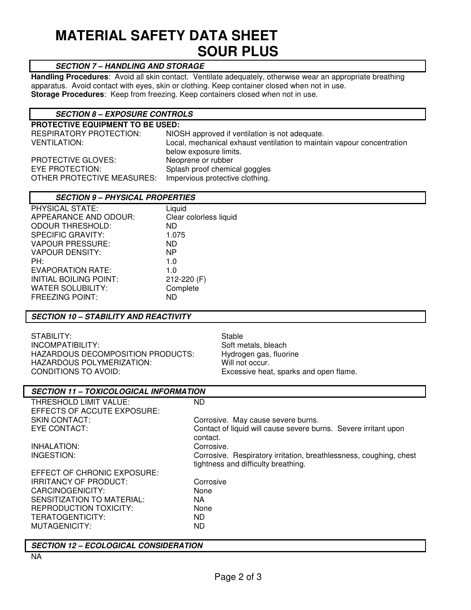# **MATERIAL SAFETY DATA SHEET SOUR PLUS**

## **SECTION 7 – HANDLING AND STORAGE**

**Handling Procedures**: Avoid all skin contact. Ventilate adequately, otherwise wear an appropriate breathing apparatus. Avoid contact with eyes, skin or clothing. Keep container closed when not in use. **Storage Procedures**: Keep from freezing. Keep containers closed when not in use.

## **SECTION 8 – EXPOSURE CONTROLS**

**PROTECTIVE EQUIPMENT TO BE USED:**  NIOSH approved if ventilation is not adequate. VENTILATION: Local, mechanical exhaust ventilation to maintain vapour concentration below exposure limits. PROTECTIVE GLOVES: Neoprene or rubber<br>
EYE PROTECTION: Splash proof chemic Splash proof chemical goggles<br>Impervious protective clothing. OTHER PROTECTIVE MEASURES:

| <b>SECTION 9 - PHYSICAL PROPERTIES</b> |                        |  |  |  |
|----------------------------------------|------------------------|--|--|--|
| PHYSICAL STATE:                        | Liquid                 |  |  |  |
| APPEARANCE AND ODOUR:                  | Clear colorless liquid |  |  |  |
| <b>ODOUR THRESHOLD:</b>                | ND.                    |  |  |  |
| <b>SPECIFIC GRAVITY:</b>               | 1.075                  |  |  |  |
| <b>VAPOUR PRESSURE:</b>                | ND.                    |  |  |  |
| VAPOUR DENSITY:                        | NP                     |  |  |  |
| PH:                                    | 1.0                    |  |  |  |
| EVAPORATION RATE:                      | 1.0                    |  |  |  |
| INITIAL BOILING POINT:                 | 212-220 (F)            |  |  |  |
| WATER SOLUBILITY:                      | Complete               |  |  |  |
| <b>FREEZING POINT:</b>                 | ND                     |  |  |  |

#### **SECTION 10 – STABILITY AND REACTIVITY**

| STABILITY:                          | Stable                                 |
|-------------------------------------|----------------------------------------|
| INCOMPATIBILITY:                    | Soft metals, bleach                    |
| HAZARDOUS DECOMPOSITION PRODUCTS: I | Hydrogen gas, fluorine                 |
| HAZARDOUS POLYMERIZATION:           | Will not occur.                        |
| CONDITIONS TO AVOID:                | Excessive heat, sparks and open flame. |

| <b>SECTION 11 – TOXICOLOGICAL INFORMATION</b> |                                                                    |  |  |  |
|-----------------------------------------------|--------------------------------------------------------------------|--|--|--|
| THRESHOLD LIMIT VALUE:                        | ND.                                                                |  |  |  |
| EFFECTS OF ACCUTE EXPOSURE:                   |                                                                    |  |  |  |
| <b>SKIN CONTACT:</b>                          | Corrosive. May cause severe burns.                                 |  |  |  |
| EYE CONTACT:                                  | Contact of liquid will cause severe burns. Severe irritant upon    |  |  |  |
|                                               | contact.                                                           |  |  |  |
| INHALATION:                                   | Corrosive.                                                         |  |  |  |
| INGESTION:                                    | Corrosive. Respiratory irritation, breathlessness, coughing, chest |  |  |  |
|                                               | tightness and difficulty breathing.                                |  |  |  |
| EFFECT OF CHRONIC EXPOSURE:                   |                                                                    |  |  |  |
| <b>IRRITANCY OF PRODUCT:</b>                  | Corrosive                                                          |  |  |  |
| CARCINOGENICITY:                              | None                                                               |  |  |  |
| SENSITIZATION TO MATERIAL:                    | NA.                                                                |  |  |  |
| REPRODUCTION TOXICITY:                        | None                                                               |  |  |  |
| TERATOGENTICITY:                              | ND.                                                                |  |  |  |
| MUTAGENICITY:                                 | ND.                                                                |  |  |  |
|                                               |                                                                    |  |  |  |
| <b>SECTION 12 - ECOLOGICAL CONSIDERATION</b>  |                                                                    |  |  |  |